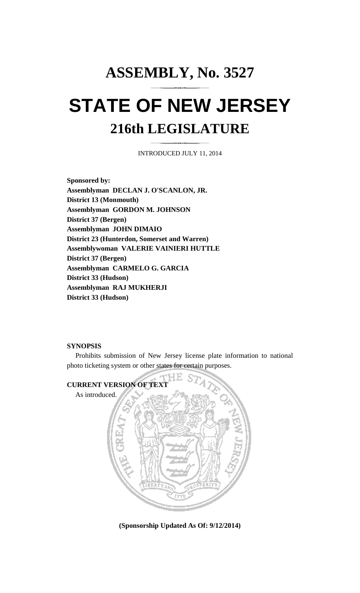## **ASSEMBLY, No. 3527 STATE OF NEW JERSEY 216th LEGISLATURE**

INTRODUCED JULY 11, 2014

**Sponsored by: Assemblyman DECLAN J. O'SCANLON, JR. District 13 (Monmouth) Assemblyman GORDON M. JOHNSON District 37 (Bergen) Assemblyman JOHN DIMAIO District 23 (Hunterdon, Somerset and Warren) Assemblywoman VALERIE VAINIERI HUTTLE District 37 (Bergen) Assemblyman CARMELO G. GARCIA District 33 (Hudson) Assemblyman RAJ MUKHERJI District 33 (Hudson)** 

## **SYNOPSIS**

 Prohibits submission of New Jersey license plate information to national photo ticketing system or other states for certain purposes.



**(Sponsorship Updated As Of: 9/12/2014)**